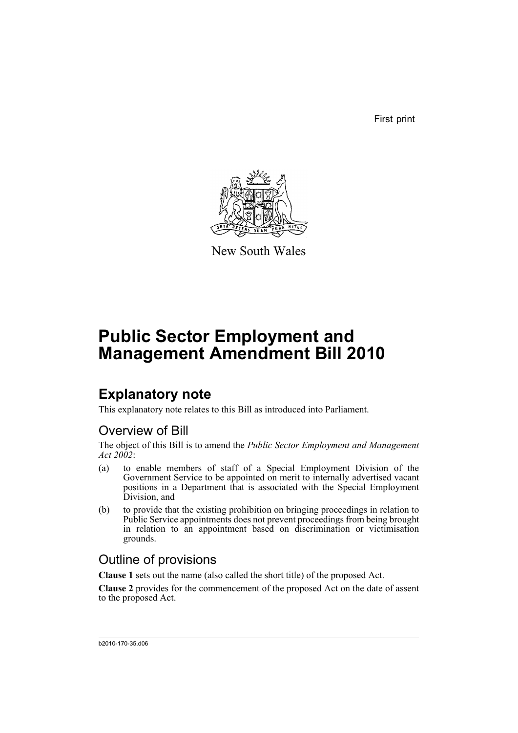First print



New South Wales

# **Public Sector Employment and Management Amendment Bill 2010**

## **Explanatory note**

This explanatory note relates to this Bill as introduced into Parliament.

### Overview of Bill

The object of this Bill is to amend the *Public Sector Employment and Management Act 2002*:

- (a) to enable members of staff of a Special Employment Division of the Government Service to be appointed on merit to internally advertised vacant positions in a Department that is associated with the Special Employment Division, and
- (b) to provide that the existing prohibition on bringing proceedings in relation to Public Service appointments does not prevent proceedings from being brought in relation to an appointment based on discrimination or victimisation grounds.

### Outline of provisions

**Clause 1** sets out the name (also called the short title) of the proposed Act.

**Clause 2** provides for the commencement of the proposed Act on the date of assent to the proposed Act.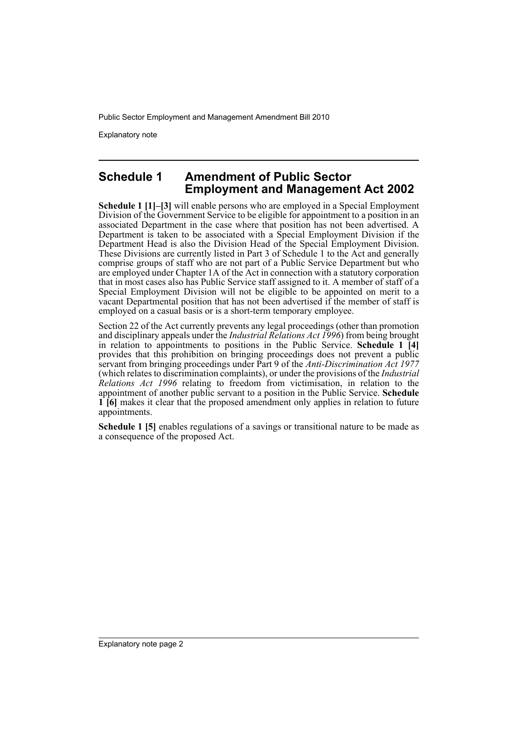Public Sector Employment and Management Amendment Bill 2010

Explanatory note

### **Schedule 1 Amendment of Public Sector Employment and Management Act 2002**

**Schedule 1 [1]–[3]** will enable persons who are employed in a Special Employment Division of the Government Service to be eligible for appointment to a position in an associated Department in the case where that position has not been advertised. A Department is taken to be associated with a Special Employment Division if the Department Head is also the Division Head of the Special Employment Division. These Divisions are currently listed in Part 3 of Schedule 1 to the Act and generally comprise groups of staff who are not part of a Public Service Department but who are employed under Chapter 1A of the Act in connection with a statutory corporation that in most cases also has Public Service staff assigned to it. A member of staff of a Special Employment Division will not be eligible to be appointed on merit to a vacant Departmental position that has not been advertised if the member of staff is employed on a casual basis or is a short-term temporary employee.

Section 22 of the Act currently prevents any legal proceedings (other than promotion and disciplinary appeals under the *Industrial Relations Act 1996*) from being brought in relation to appointments to positions in the Public Service. **Schedule 1 [4]** provides that this prohibition on bringing proceedings does not prevent a public servant from bringing proceedings under Part 9 of the *Anti-Discrimination Act 1977* (which relates to discrimination complaints), or under the provisions of the *Industrial Relations Act 1996* relating to freedom from victimisation, in relation to the appointment of another public servant to a position in the Public Service. **Schedule 1 [6]** makes it clear that the proposed amendment only applies in relation to future appointments.

**Schedule 1 [5]** enables regulations of a savings or transitional nature to be made as a consequence of the proposed Act.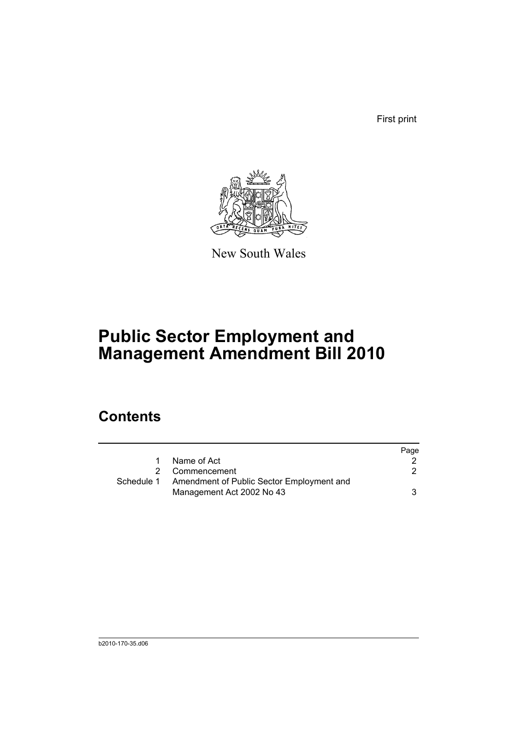First print



New South Wales

# **Public Sector Employment and Management Amendment Bill 2010**

## **Contents**

|            |                                           | Page |
|------------|-------------------------------------------|------|
| 1          | Name of Act                               |      |
| 2          | Commencement                              |      |
| Schedule 1 | Amendment of Public Sector Employment and |      |
|            | Management Act 2002 No 43                 | 3    |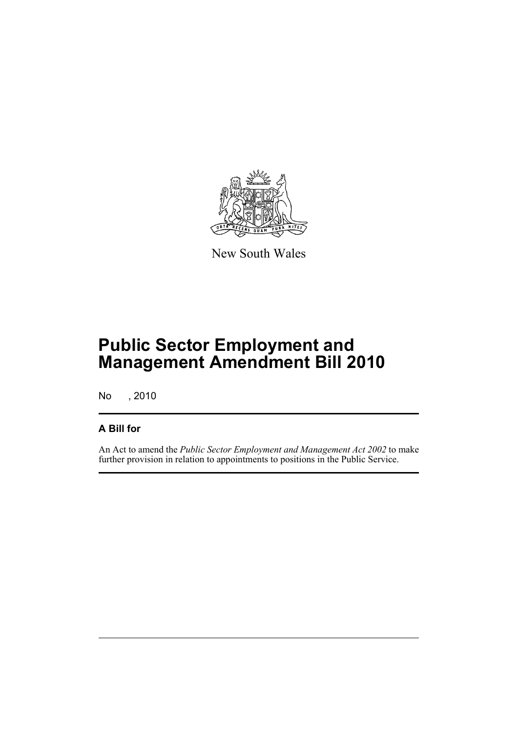

New South Wales

## **Public Sector Employment and Management Amendment Bill 2010**

No , 2010

### **A Bill for**

An Act to amend the *Public Sector Employment and Management Act 2002* to make further provision in relation to appointments to positions in the Public Service.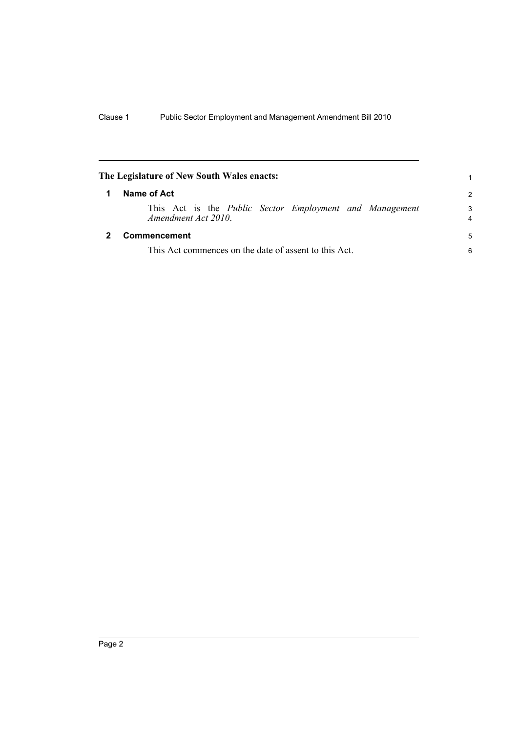<span id="page-5-1"></span><span id="page-5-0"></span>

|   | The Legislature of New South Wales enacts:                                            |                     |
|---|---------------------------------------------------------------------------------------|---------------------|
| 1 | Name of Act                                                                           | $\mathcal{P}$       |
|   | This Act is the <i>Public Sector Employment and Management</i><br>Amendment Act 2010. | 3<br>$\overline{4}$ |
|   | Commencement                                                                          | 5                   |
|   | This Act commences on the date of assent to this Act.                                 |                     |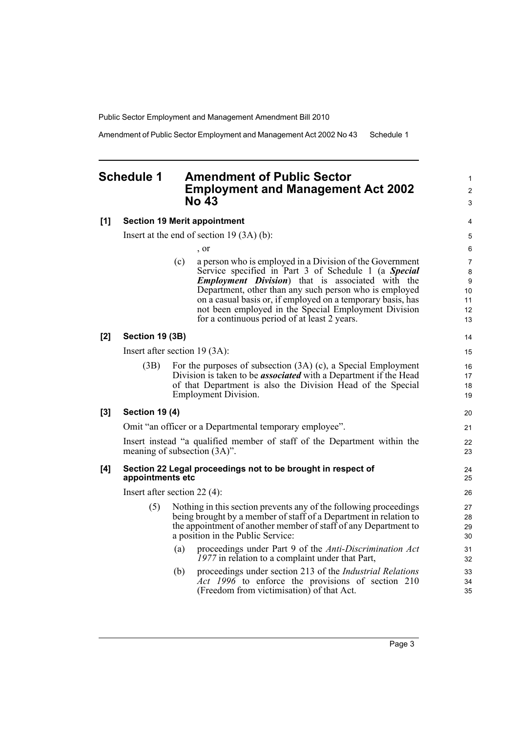Public Sector Employment and Management Amendment Bill 2010

Amendment of Public Sector Employment and Management Act 2002 No 43 Schedule 1

#### <span id="page-6-0"></span>**Schedule 1 Amendment of Public Sector Employment and Management Act 2002 No 43**

#### **[1] Section 19 Merit appointment**

Insert at the end of section 19 (3A) (b):

, or

(c) a person who is employed in a Division of the Government Service specified in Part 3 of Schedule 1 (a *Special Employment Division*) that is associated with the Department, other than any such person who is employed on a casual basis or, if employed on a temporary basis, has not been employed in the Special Employment Division for a continuous period of at least 2 years.

#### **[2] Section 19 (3B)**

Insert after section 19 (3A):

(3B) For the purposes of subsection (3A) (c), a Special Employment Division is taken to be *associated* with a Department if the Head of that Department is also the Division Head of the Special Employment Division.

#### **[3] Section 19 (4)**

Omit "an officer or a Departmental temporary employee".

Insert instead "a qualified member of staff of the Department within the meaning of subsection (3A)".

#### **[4] Section 22 Legal proceedings not to be brought in respect of appointments etc**

Insert after section 22 (4):

- (5) Nothing in this section prevents any of the following proceedings being brought by a member of staff of a Department in relation to the appointment of another member of staff of any Department to a position in the Public Service:
	- (a) proceedings under Part 9 of the *Anti-Discrimination Act 1977* in relation to a complaint under that Part,
	- (b) proceedings under section 213 of the *Industrial Relations Act 1996* to enforce the provisions of section 210 (Freedom from victimisation) of that Act.

1  $\mathfrak{p}$ 3